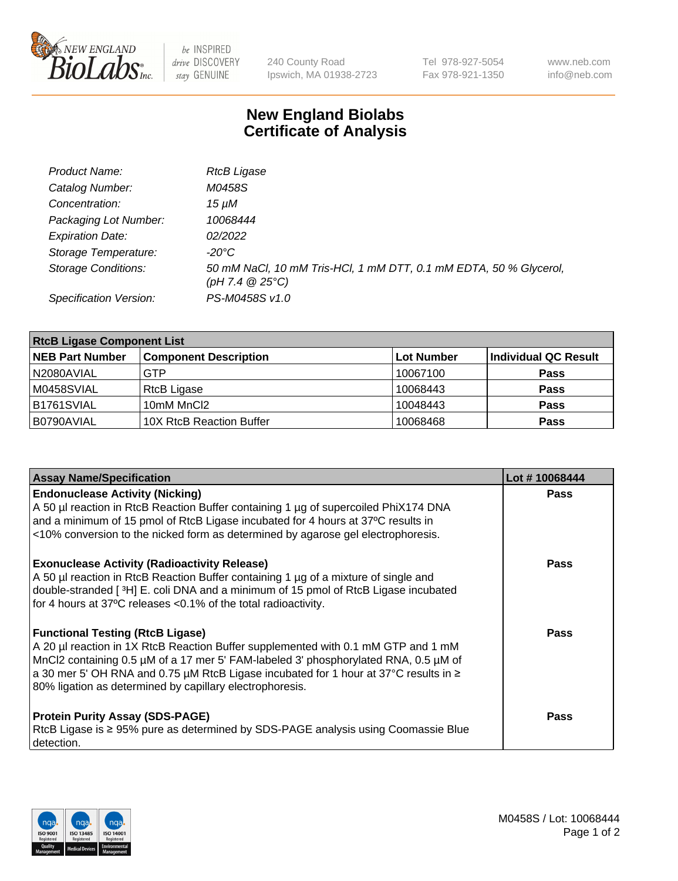

be INSPIRED drive DISCOVERY stay GENUINE

240 County Road Ipswich, MA 01938-2723 Tel 978-927-5054 Fax 978-921-1350 www.neb.com info@neb.com

## **New England Biolabs Certificate of Analysis**

| Product Name:              | <b>RtcB Ligase</b>                                                                     |
|----------------------------|----------------------------------------------------------------------------------------|
| Catalog Number:            | M0458S                                                                                 |
| Concentration:             | 15 uM                                                                                  |
| Packaging Lot Number:      | 10068444                                                                               |
| <b>Expiration Date:</b>    | 02/2022                                                                                |
| Storage Temperature:       | -20°C                                                                                  |
| <b>Storage Conditions:</b> | 50 mM NaCl, 10 mM Tris-HCl, 1 mM DTT, 0.1 mM EDTA, 50 % Glycerol,<br>(pH 7.4 $@25°C$ ) |
| Specification Version:     | PS-M0458S v1.0                                                                         |

| <b>RtcB Ligase Component List</b> |                              |            |                      |  |
|-----------------------------------|------------------------------|------------|----------------------|--|
| <b>NEB Part Number</b>            | <b>Component Description</b> | Lot Number | Individual QC Result |  |
| I N2080AVIAL                      | GTP                          | 10067100   | <b>Pass</b>          |  |
| M0458SVIAL                        | RtcB Ligase                  | 10068443   | <b>Pass</b>          |  |
| IB1761SVIAL                       | 10mM MnCl2                   | 10048443   | <b>Pass</b>          |  |
| B0790AVIAL                        | 10X RtcB Reaction Buffer     | 10068468   | <b>Pass</b>          |  |

| <b>Assay Name/Specification</b>                                                                                                                                                                                                                                                                                                                                         | Lot #10068444 |
|-------------------------------------------------------------------------------------------------------------------------------------------------------------------------------------------------------------------------------------------------------------------------------------------------------------------------------------------------------------------------|---------------|
| <b>Endonuclease Activity (Nicking)</b><br>A 50 µl reaction in RtcB Reaction Buffer containing 1 µg of supercoiled PhiX174 DNA<br>and a minimum of 15 pmol of RtcB Ligase incubated for 4 hours at 37°C results in<br><10% conversion to the nicked form as determined by agarose gel electrophoresis.                                                                   | <b>Pass</b>   |
| <b>Exonuclease Activity (Radioactivity Release)</b><br>A 50 µl reaction in RtcB Reaction Buffer containing 1 µg of a mixture of single and<br>double-stranded [3H] E. coli DNA and a minimum of 15 pmol of RtcB Ligase incubated<br>for 4 hours at 37°C releases <0.1% of the total radioactivity.                                                                      | Pass          |
| <b>Functional Testing (RtcB Ligase)</b><br>A 20 µl reaction in 1X RtcB Reaction Buffer supplemented with 0.1 mM GTP and 1 mM<br>MnCl2 containing 0.5 µM of a 17 mer 5' FAM-labeled 3' phosphorylated RNA, 0.5 µM of<br>a 30 mer 5' OH RNA and 0.75 µM RtcB Ligase incubated for 1 hour at 37°C results in ≥<br>80% ligation as determined by capillary electrophoresis. | Pass          |
| <b>Protein Purity Assay (SDS-PAGE)</b><br>RtcB Ligase is ≥ 95% pure as determined by SDS-PAGE analysis using Coomassie Blue<br>detection.                                                                                                                                                                                                                               | Pass          |